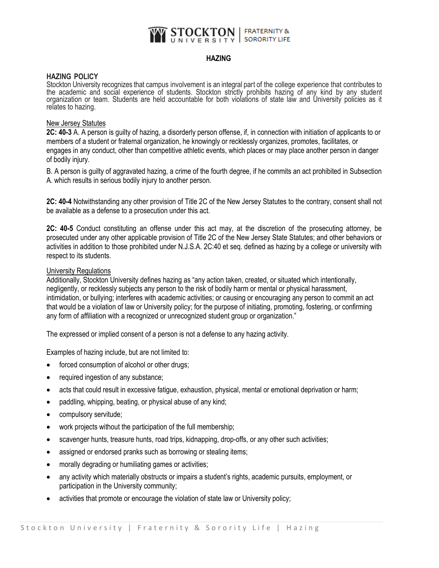#### **STOCKTON** | FRATERNITY & **SORORITY LIFE** J N I V E R S I T Y

# **HAZING**

## **HAZING POLICY**

Stockton University recognizes that campus involvement is an integral part of the college experience that contributes to the academic and social experience of students. Stockton strictly prohibits hazing of any kind by any student organization or team. Students are held accountable for both violations of state law and University policies as it relates to hazing.

## New Jersey Statutes

**2C: 40-3** A. A person is guilty of hazing, a disorderly person offense, if, in connection with initiation of applicants to or members of a student or fraternal organization, he knowingly or recklessly organizes, promotes, facilitates, or engages in any conduct, other than competitive athletic events, which places or may place another person in danger of bodily injury.

B. A person is guilty of aggravated hazing, a crime of the fourth degree, if he commits an act prohibited in Subsection A. which results in serious bodily injury to another person.

**2C: 40-4** Notwithstanding any other provision of Title 2C of the New Jersey Statutes to the contrary, consent shall not be available as a defense to a prosecution under this act.

**2C: 40-5** Conduct constituting an offense under this act may, at the discretion of the prosecuting attorney, be prosecuted under any other applicable provision of Title 2C of the New Jersey State Statutes; and other behaviors or activities in addition to those prohibited under N.J.S.A. 2C:40 et seq. defined as hazing by a college or university with respect to its students.

#### University Regulations

Additionally, Stockton University defines hazing as "any action taken, created, or situated which intentionally, negligently, or recklessly subjects any person to the risk of bodily harm or mental or physical harassment, intimidation, or bullying; interferes with academic activities; or causing or encouraging any person to commit an act that would be a violation of law or University policy; for the purpose of initiating, promoting, fostering, or confirming any form of affiliation with a recognized or unrecognized student group or organization."

The expressed or implied consent of a person is not a defense to any hazing activity.

Examples of hazing include, but are not limited to:

- forced consumption of alcohol or other drugs;
- required ingestion of any substance;
- acts that could result in excessive fatigue, exhaustion, physical, mental or emotional deprivation or harm;
- paddling, whipping, beating, or physical abuse of any kind;
- compulsory servitude;
- work projects without the participation of the full membership;
- scavenger hunts, treasure hunts, road trips, kidnapping, drop-offs, or any other such activities;
- assigned or endorsed pranks such as borrowing or stealing items;
- morally degrading or humiliating games or activities;
- any activity which materially obstructs or impairs a student's rights, academic pursuits, employment, or participation in the University community;
- activities that promote or encourage the violation of state law or University policy;